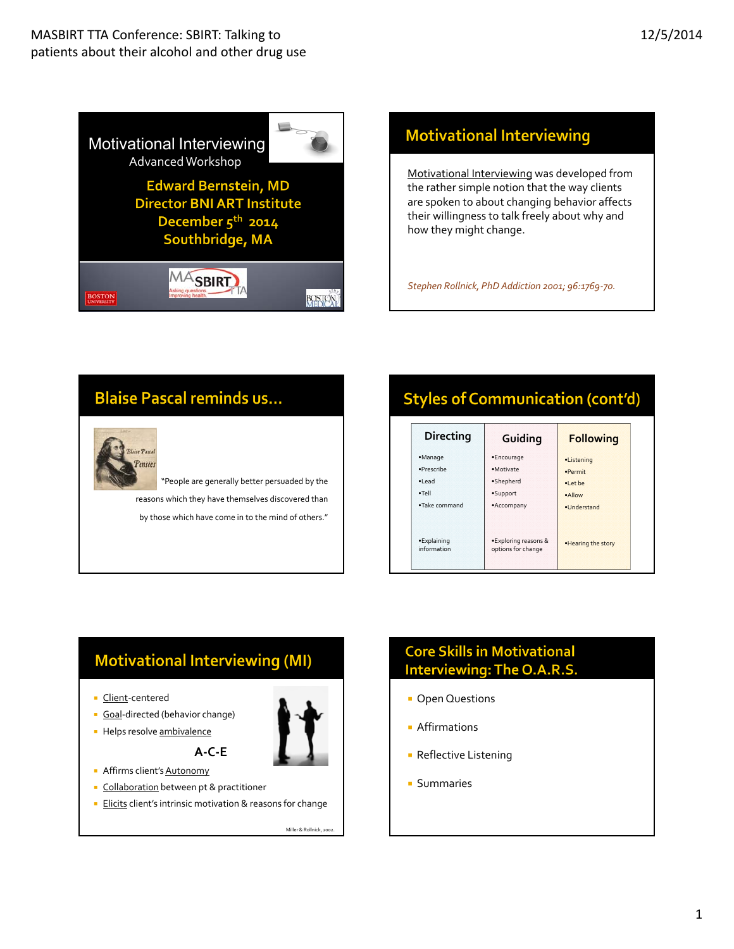

## **Motivational Interviewing**

Motivational Interviewing was developed from the rather simple notion that the way clients are spoken to about changing behavior affects their willingness to talk freely about why and how they might change.

*Stephen Rollnick, PhD Addiction 2001; 96:1769‐70.*

## **Blaise Pascal reminds us...**



"People are generally better persuaded by the reasons which they have themselves discovered than by those which have come in to the mind of others."

# **Styles of Communication (cont'd)**

| <b>Directing</b>           | Guiding                                    | <b>Following</b>    |
|----------------------------|--------------------------------------------|---------------------|
| ·Manage                    | ·Encourage                                 | ·Listening          |
| ·Prescribe                 | ·Motivate                                  | ·Permit             |
| ·Lead                      | ·Shepherd                                  | •Let be             |
| $\bullet$ Tell             | •Support                                   | ·Allow              |
| . Take command             | •Accompany                                 | ·Understand         |
| ·Explaining<br>information | •Exploring reasons &<br>options for change | . Hearing the story |

## **Motivational Interviewing (MI)**

- Client-centered
- Goal-directed (behavior change)
- Helps resolve ambivalence



- Affirms client's Autonomy
- **Collaboration** between pt & practitioner
- **Elicits client's intrinsic motivation & reasons for change**

**A‐C‐E**

Miller & Rollnick, 2002.

## **Core Skills in Motivational** Interviewing: The O.A.R.S.

- **D** Open Questions
- **Affirmations**
- **Reflective Listening**
- **Summaries**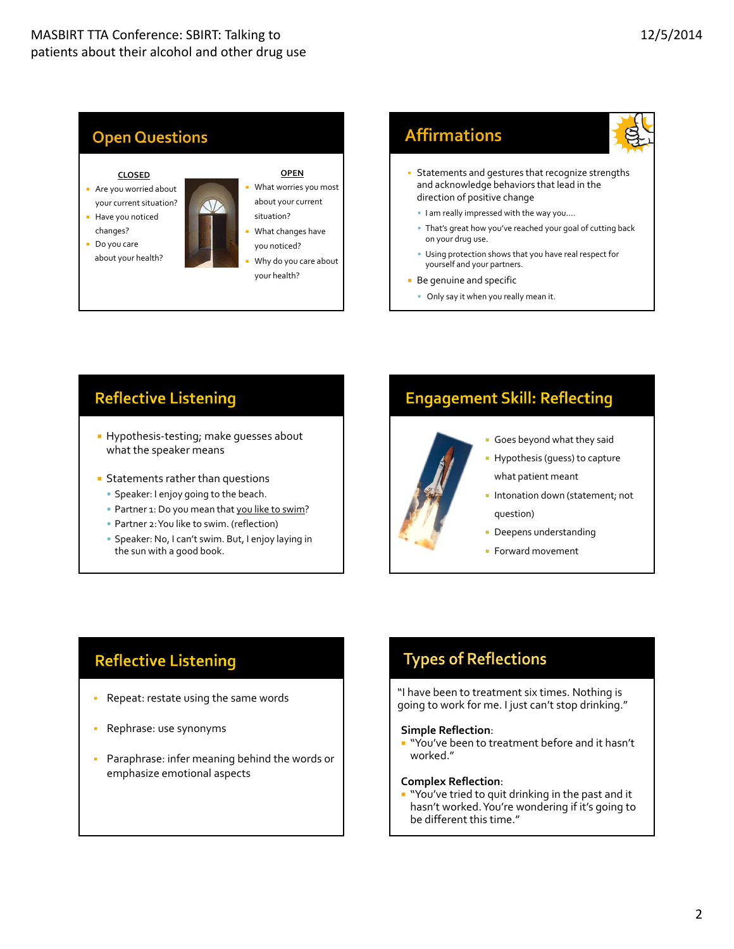



- **Be genuine and specific** 
	- Only say it when you really mean it.

## **Reflective Listening**

- Hypothesis-testing; make quesses about what the speaker means
- **Statements rather than questions** 
	- Speaker: I enjoy going to the beach.
	- Partner 1: Do you mean that you like to swim?
	- Partner 2:You like to swim. (reflection)
	- Speaker: No, I can't swim. But, I enjoy laying in the sun with a good book.

## **Engagement Skill: Reflecting**



- Goes beyond what they said
- **Hypothesis (guess) to capture** what patient meant
- **Intonation down (statement; not** question)
- Deepens understanding
- **Forward movement**

## **Reflective Listening**

- Repeat: restate using the same words
- Rephrase: use synonyms
- **Paraphrase: infer meaning behind the words or** emphasize emotional aspects

## **Types of Reflections**

"I have been to treatment six times. Nothing is going to work for me. I just can't stop drinking."

#### **Simple Reflection**:

" "You've been to treatment before and it hasn't worked."

#### **Complex Reflection**:

" "You've tried to quit drinking in the past and it hasn't worked.You're wondering if it's going to be different this time."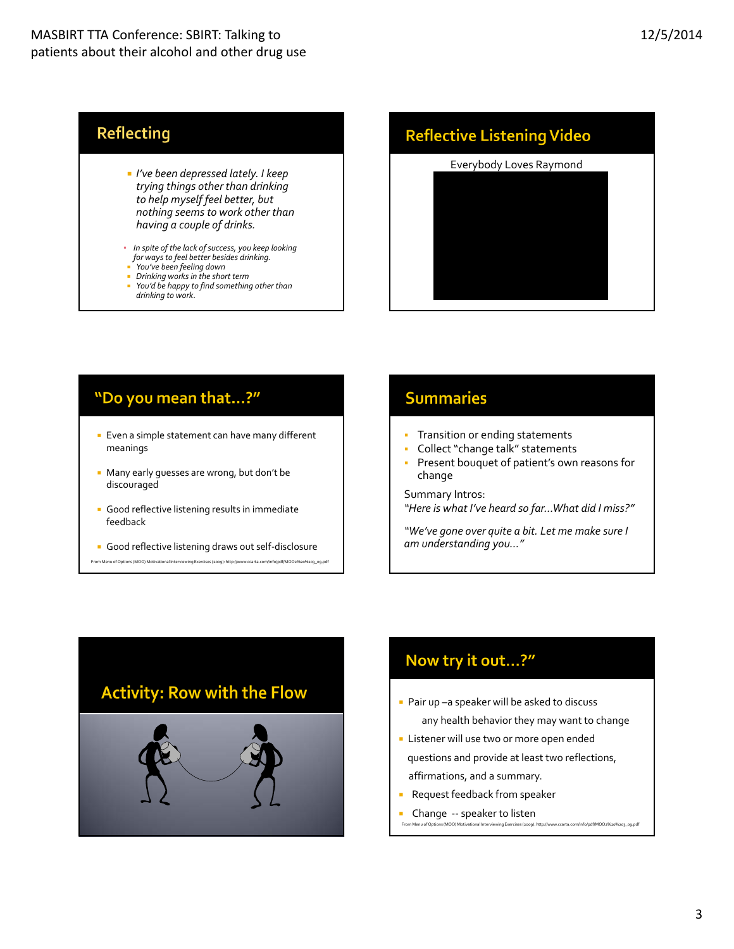## **Reflecting**

- *I've been depressed lately. I keep trying things other than drinking to help myself feel better, but nothing seems to work other than having a couple of drinks.*
- *In spite of the lack ofsuccess, you keep looking for waysto feel better besides drinking.*
- *You've been feeling down*
- 
- *Drinking works in the short term You'd be happy to find something other than drinking to work*.

## **Reflective Listening Video**

# Everybody Loves Raymond

## "Do you mean that...?"

- **Even a simple statement can have many different** meanings
- Many early guesses are wrong, but don't be discouraged
- Good reflective listening results in immediate feedback
- Good reflective listening draws out self-disclosure
- From Menu of Options (MOO) Motivational Interviewing Exercises (2009): http://www.ccarta.com/info/pdf/MOO2%20%203\_09.pdf

## **Summaries**

- **Transition or ending statements**
- Collect"change talk" statements
- Present bouquet of patient's own reasons for change

Summary Intros:

*"Here is what I've heard so far…What did I miss?"*

*"We've gone over quite a bit. Let me make sure I am understanding you…"*



## Now try it out...?"

- Pair up –a speaker will be asked to discuss any health behavior they may want to change
- **Listener will use two or more open ended** questions and provide at least two reflections, affirmations, and a summary.

From Menu of Options (MOO) Motivational Interviewing Exercises (2009): http://www.ccarta.com/info/pdf/MOO2%20%203\_09.pdf

- Request feedback from speaker
- Change ‐‐ speaker to listen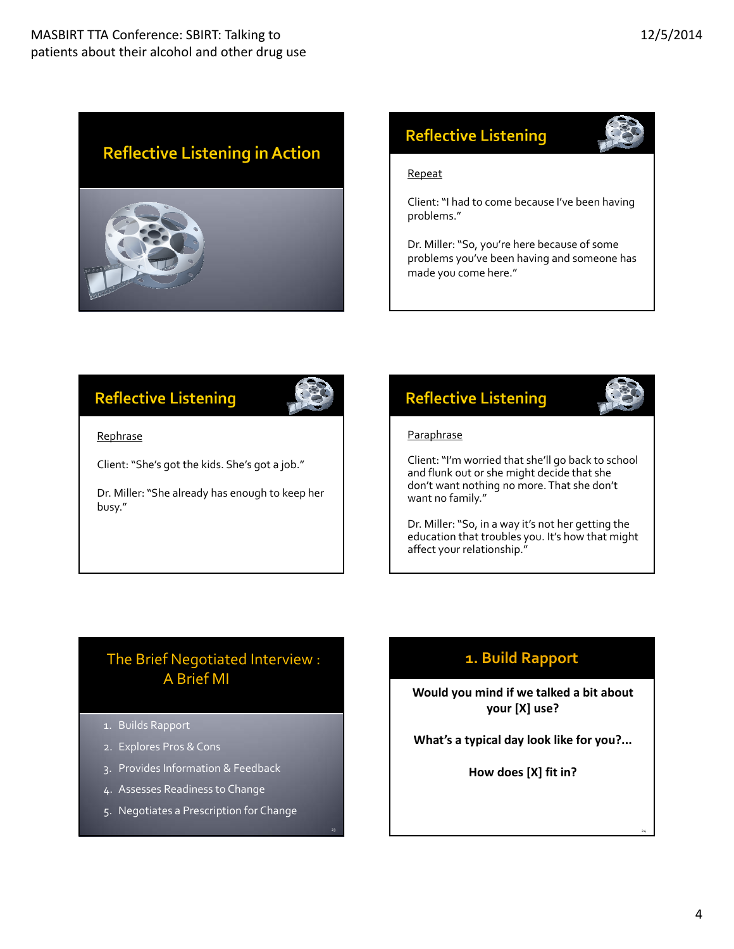# **Reflective Listening in Action**



## **Reflective Listening**

#### Repeat

Client:"I had to come because I've been having problems."

Dr. Miller:"So, you're here because of some problems you've been having and someone has made you come here."

# **Reflective Listening**



Rephrase

Client:"She's got the kids. She's got a job."

Dr. Miller:"She already has enough to keep her busy."

## **Reflective Listening**

#### **Paraphrase**

Client:"I'm worried that she'll go back to school and flunk out or she might decide that she don't want nothing no more.That she don't want no family."

Dr. Miller:"So, in a way it's not her getting the education that troubles you. It's how that might affect your relationship."

## A Brief MI The Brief Negotiated Interview :

- 1. Builds Rapport
- 2. Explores Pros & Cons
- 3. Provides Information & Feedback
- 4. Assesses Readiness to Change
- 5. Negotiates a Prescription for Change

## **1. Build Rapport**

**Would you mind if we talked a bit about your [X] use?**

**What's a typical day look like for you?...**

**How does [X] fit in?**

24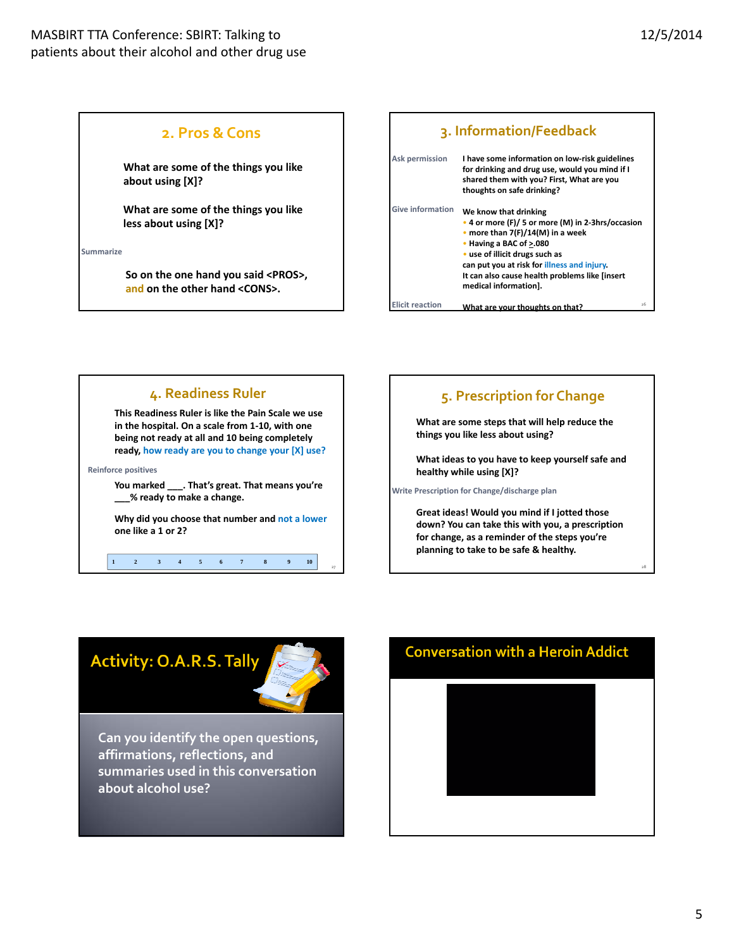### **2. Pros &Cons**

**What are some of the things you like about using [X]?**

**What are some of the things you like less about using [X]?**

**Summarize**

**So on the one hand you said <PROS>, and on the other hand <CONS>.**

| 3. Information/Feedback                                                                                                                                                                                                                                                                                                            |                                                                                                                                                                             |  |
|------------------------------------------------------------------------------------------------------------------------------------------------------------------------------------------------------------------------------------------------------------------------------------------------------------------------------------|-----------------------------------------------------------------------------------------------------------------------------------------------------------------------------|--|
| <b>Ask permission</b>                                                                                                                                                                                                                                                                                                              | I have some information on low-risk guidelines<br>for drinking and drug use, would you mind if I<br>shared them with you? First, What are you<br>thoughts on safe drinking? |  |
| <b>Give information</b><br>We know that drinking<br>• 4 or more (F)/ 5 or more (M) in 2-3hrs/occasion<br>• more than $7(F)/14(M)$ in a week<br>• Having a BAC of >.080<br>• use of illicit drugs such as<br>can put you at risk for illness and injury.<br>It can also cause health problems like [insert<br>medical information]. |                                                                                                                                                                             |  |
| Flicit reaction                                                                                                                                                                                                                                                                                                                    | 26<br>What are your thoughts on that?                                                                                                                                       |  |



# **5. Prescription for Change**

**What are some steps that will help reduce the things you like less about using?** 

**What ideas to you have to keep yourself safe and healthy while using [X]?**

**Write Prescription for Change/discharge plan**

**Great ideas! Would you mind if I jotted those down? You can take this with you, a prescription for change, as a reminder of the steps you're planning to take to be safe & healthy.**

## **Activity: O.A.R.S. Tally**



**Can you identify the open questions, affirmations, reflections, and summaries used in this conversation about alcohol use?**



28